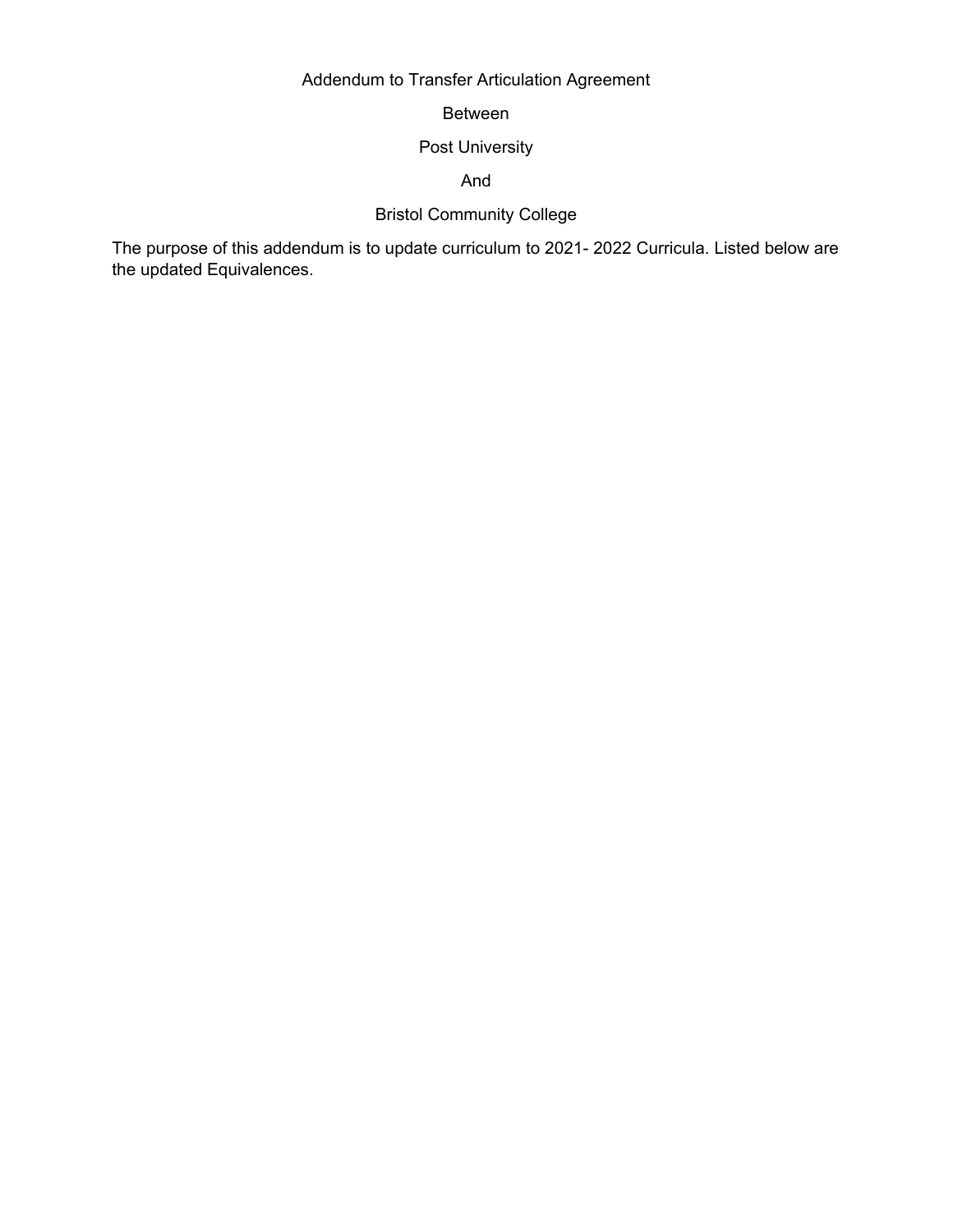## Addendum to Transfer Articulation Agreement

Between

## Post University

And

## Bristol Community College

The purpose of this addendum is to update curriculum to 2021- 2022 Curricula. Listed below are the updated Equivalences.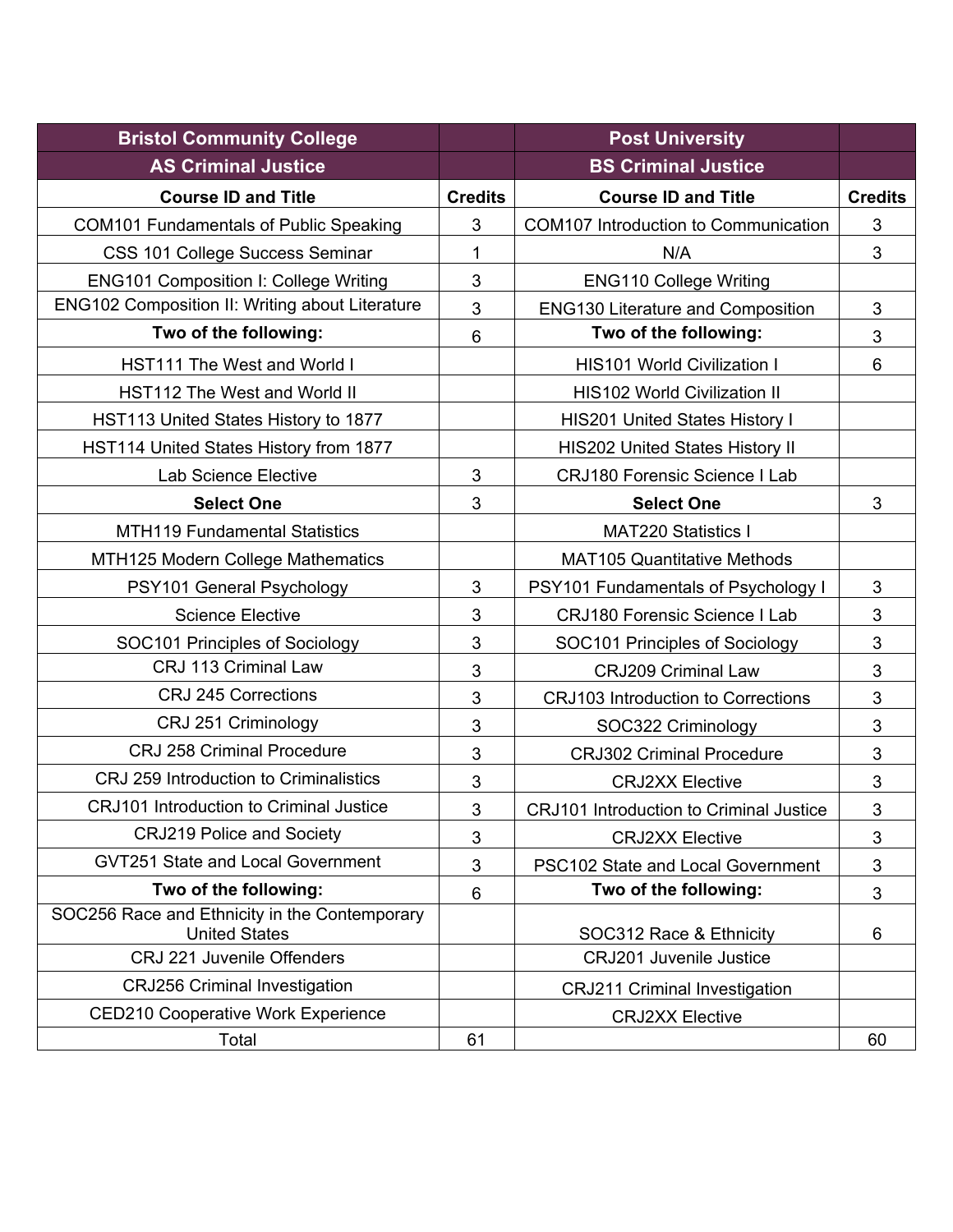| <b>Bristol Community College</b>                                      |                | <b>Post University</b>                         |                |
|-----------------------------------------------------------------------|----------------|------------------------------------------------|----------------|
| <b>AS Criminal Justice</b>                                            |                | <b>BS Criminal Justice</b>                     |                |
| <b>Course ID and Title</b>                                            | <b>Credits</b> | <b>Course ID and Title</b>                     | <b>Credits</b> |
| <b>COM101 Fundamentals of Public Speaking</b>                         | 3              | <b>COM107 Introduction to Communication</b>    | 3              |
| CSS 101 College Success Seminar                                       | $\mathbf{1}$   | N/A                                            | $\mathbf{3}$   |
| <b>ENG101 Composition I: College Writing</b>                          | 3              | <b>ENG110 College Writing</b>                  |                |
| ENG102 Composition II: Writing about Literature                       | 3              | <b>ENG130 Literature and Composition</b>       | 3              |
| Two of the following:                                                 | 6              | Two of the following:                          | $\mathfrak{S}$ |
| <b>HST111 The West and World I</b>                                    |                | <b>HIS101 World Civilization I</b>             | 6              |
| HST112 The West and World II                                          |                | <b>HIS102 World Civilization II</b>            |                |
| HST113 United States History to 1877                                  |                | <b>HIS201 United States History I</b>          |                |
| HST114 United States History from 1877                                |                | <b>HIS202 United States History II</b>         |                |
| <b>Lab Science Elective</b>                                           | 3              | <b>CRJ180 Forensic Science I Lab</b>           |                |
| <b>Select One</b>                                                     | 3              | <b>Select One</b>                              | 3              |
| <b>MTH119 Fundamental Statistics</b>                                  |                | <b>MAT220 Statistics I</b>                     |                |
| MTH125 Modern College Mathematics                                     |                | <b>MAT105 Quantitative Methods</b>             |                |
| PSY101 General Psychology                                             | 3              | PSY101 Fundamentals of Psychology I            | $\mathfrak{S}$ |
| <b>Science Elective</b>                                               | 3              | <b>CRJ180 Forensic Science I Lab</b>           | 3              |
| SOC101 Principles of Sociology                                        | 3              | SOC101 Principles of Sociology                 | 3              |
| CRJ 113 Criminal Law                                                  | 3              | <b>CRJ209 Criminal Law</b>                     | 3              |
| <b>CRJ 245 Corrections</b>                                            | 3              | <b>CRJ103 Introduction to Corrections</b>      | 3              |
| CRJ 251 Criminology                                                   | 3              | SOC322 Criminology                             | 3              |
| <b>CRJ 258 Criminal Procedure</b>                                     | 3              | <b>CRJ302 Criminal Procedure</b>               | $\mathfrak{S}$ |
| CRJ 259 Introduction to Criminalistics                                | 3              | <b>CRJ2XX Elective</b>                         | 3              |
| <b>CRJ101</b> Introduction to Criminal Justice                        | 3              | <b>CRJ101 Introduction to Criminal Justice</b> | 3              |
| <b>CRJ219 Police and Society</b>                                      | 3              | <b>CRJ2XX Elective</b>                         | 3              |
| GVT251 State and Local Government                                     | 3              | PSC102 State and Local Government              | $\mathbf{3}$   |
| Two of the following:                                                 | 6              | Two of the following:                          | 3              |
| SOC256 Race and Ethnicity in the Contemporary<br><b>United States</b> |                | SOC312 Race & Ethnicity                        | 6              |
| CRJ 221 Juvenile Offenders                                            |                | CRJ201 Juvenile Justice                        |                |
| <b>CRJ256 Criminal Investigation</b>                                  |                | <b>CRJ211 Criminal Investigation</b>           |                |
| <b>CED210 Cooperative Work Experience</b>                             |                | <b>CRJ2XX Elective</b>                         |                |
| Total                                                                 | 61             |                                                | 60             |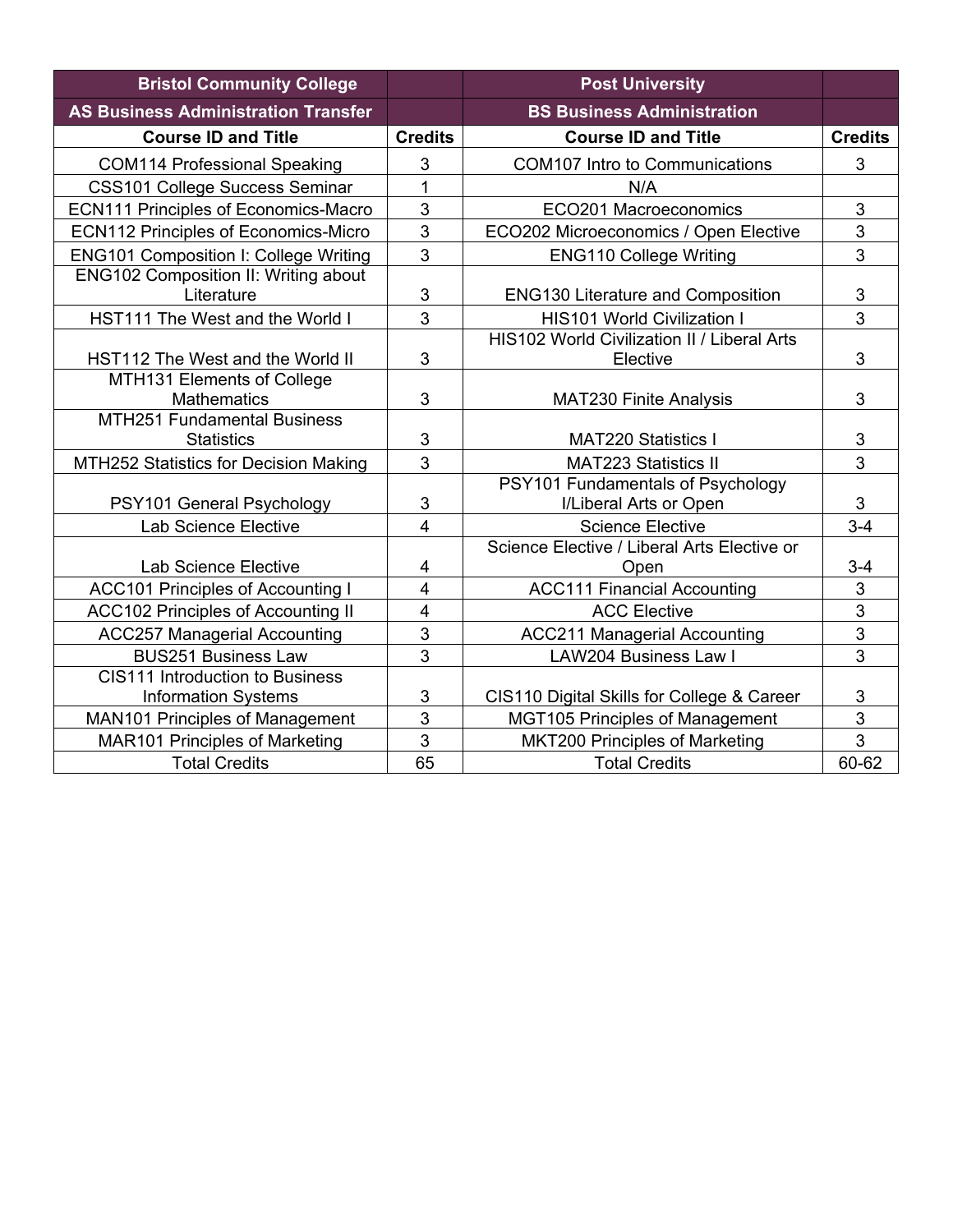| <b>Bristol Community College</b>                          |                | <b>Post University</b>                                      |                           |
|-----------------------------------------------------------|----------------|-------------------------------------------------------------|---------------------------|
| <b>AS Business Administration Transfer</b>                |                | <b>BS Business Administration</b>                           |                           |
| <b>Course ID and Title</b>                                | <b>Credits</b> | <b>Course ID and Title</b>                                  | <b>Credits</b>            |
| <b>COM114 Professional Speaking</b>                       | 3              | <b>COM107 Intro to Communications</b>                       | 3                         |
| <b>CSS101 College Success Seminar</b>                     | $\mathbf{1}$   | N/A                                                         |                           |
| <b>ECN111 Principles of Economics-Macro</b>               | 3              | ECO201 Macroeconomics                                       | 3                         |
| <b>ECN112 Principles of Economics-Micro</b>               | 3              | ECO202 Microeconomics / Open Elective                       | 3                         |
| <b>ENG101 Composition I: College Writing</b>              | 3              | <b>ENG110 College Writing</b>                               | 3                         |
| <b>ENG102 Composition II: Writing about</b><br>Literature | 3              | <b>ENG130 Literature and Composition</b>                    | $\sqrt{3}$                |
| HST111 The West and the World I                           | 3              | <b>HIS101 World Civilization I</b>                          | 3                         |
| HST112 The West and the World II                          | 3              | HIS102 World Civilization II / Liberal Arts<br>Elective     | 3                         |
| MTH131 Elements of College<br><b>Mathematics</b>          | 3              | <b>MAT230 Finite Analysis</b>                               | 3                         |
| <b>MTH251 Fundamental Business</b><br><b>Statistics</b>   | 3              | <b>MAT220 Statistics I</b>                                  | $\ensuremath{\mathsf{3}}$ |
| MTH252 Statistics for Decision Making                     | $\overline{3}$ | <b>MAT223 Statistics II</b>                                 | $\overline{3}$            |
| PSY101 General Psychology                                 | 3              | PSY101 Fundamentals of Psychology<br>I/Liberal Arts or Open | 3                         |
| Lab Science Elective                                      | $\overline{4}$ | <b>Science Elective</b>                                     | $3 - 4$                   |
|                                                           |                | Science Elective / Liberal Arts Elective or                 |                           |
| Lab Science Elective                                      | 4              | Open                                                        | $3 - 4$                   |
| <b>ACC101 Principles of Accounting I</b>                  | $\overline{4}$ | <b>ACC111 Financial Accounting</b>                          | 3                         |
| <b>ACC102 Principles of Accounting II</b>                 | $\overline{4}$ | <b>ACC Elective</b>                                         | $\overline{3}$            |
| <b>ACC257 Managerial Accounting</b>                       | 3              | <b>ACC211 Managerial Accounting</b>                         | 3                         |
| <b>BUS251 Business Law</b>                                | $\overline{3}$ | <b>LAW204 Business Law I</b>                                | $\overline{3}$            |
| <b>CIS111 Introduction to Business</b>                    |                |                                                             |                           |
| <b>Information Systems</b>                                | 3              | CIS110 Digital Skills for College & Career                  | $\sqrt{3}$                |
| <b>MAN101 Principles of Management</b>                    | 3              | <b>MGT105 Principles of Management</b>                      | 3                         |
| <b>MAR101 Principles of Marketing</b>                     | 3              | <b>MKT200 Principles of Marketing</b>                       | $\overline{3}$            |
| <b>Total Credits</b>                                      | 65             | <b>Total Credits</b>                                        | 60-62                     |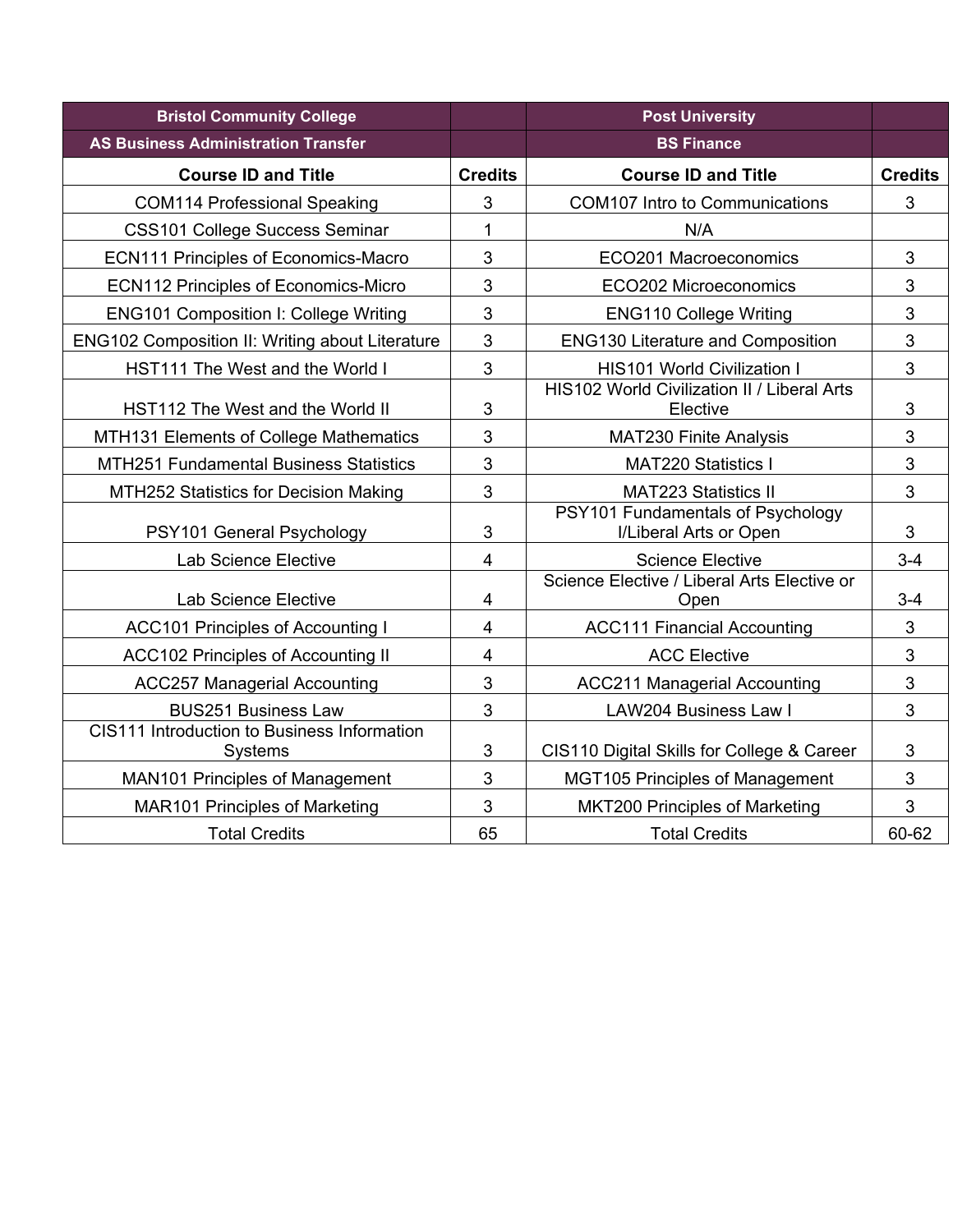| <b>Bristol Community College</b>                       |                | <b>Post University</b>                                      |                |
|--------------------------------------------------------|----------------|-------------------------------------------------------------|----------------|
| <b>AS Business Administration Transfer</b>             |                | <b>BS Finance</b>                                           |                |
| <b>Course ID and Title</b>                             | <b>Credits</b> | <b>Course ID and Title</b>                                  | <b>Credits</b> |
| <b>COM114 Professional Speaking</b>                    | 3              | <b>COM107 Intro to Communications</b>                       | 3              |
| <b>CSS101 College Success Seminar</b>                  | 1              | N/A                                                         |                |
| <b>ECN111 Principles of Economics-Macro</b>            | 3              | ECO201 Macroeconomics                                       | 3              |
| <b>ECN112 Principles of Economics-Micro</b>            | 3              | ECO202 Microeconomics                                       | 3              |
| <b>ENG101 Composition I: College Writing</b>           | 3              | <b>ENG110 College Writing</b>                               | 3              |
| <b>ENG102 Composition II: Writing about Literature</b> | 3              | <b>ENG130 Literature and Composition</b>                    | 3              |
| HST111 The West and the World I                        | 3              | <b>HIS101 World Civilization I</b>                          | $\mathfrak{B}$ |
| HST112 The West and the World II                       | 3              | HIS102 World Civilization II / Liberal Arts<br>Elective     | $\mathfrak{S}$ |
| MTH131 Elements of College Mathematics                 | 3              | <b>MAT230 Finite Analysis</b>                               | 3              |
| <b>MTH251 Fundamental Business Statistics</b>          | 3              | <b>MAT220 Statistics I</b>                                  | 3              |
| MTH252 Statistics for Decision Making                  | 3              | <b>MAT223 Statistics II</b>                                 | 3              |
| PSY101 General Psychology                              | 3              | PSY101 Fundamentals of Psychology<br>I/Liberal Arts or Open | 3              |
| Lab Science Elective                                   | 4              | <b>Science Elective</b>                                     | $3-4$          |
| <b>Lab Science Elective</b>                            | 4              | Science Elective / Liberal Arts Elective or<br>Open         | $3-4$          |
| <b>ACC101 Principles of Accounting I</b>               | 4              | <b>ACC111 Financial Accounting</b>                          | 3              |
| <b>ACC102 Principles of Accounting II</b>              | 4              | <b>ACC Elective</b>                                         | 3              |
| <b>ACC257 Managerial Accounting</b>                    | 3              | <b>ACC211 Managerial Accounting</b>                         | 3              |
| <b>BUS251 Business Law</b>                             | 3              | LAW204 Business Law I                                       | 3              |
| CIS111 Introduction to Business Information<br>Systems | 3              | CIS110 Digital Skills for College & Career                  | 3              |
| <b>MAN101 Principles of Management</b>                 | 3              | <b>MGT105 Principles of Management</b>                      | 3              |
| <b>MAR101 Principles of Marketing</b>                  | 3              | MKT200 Principles of Marketing                              | 3              |
| <b>Total Credits</b>                                   | 65             | <b>Total Credits</b>                                        | 60-62          |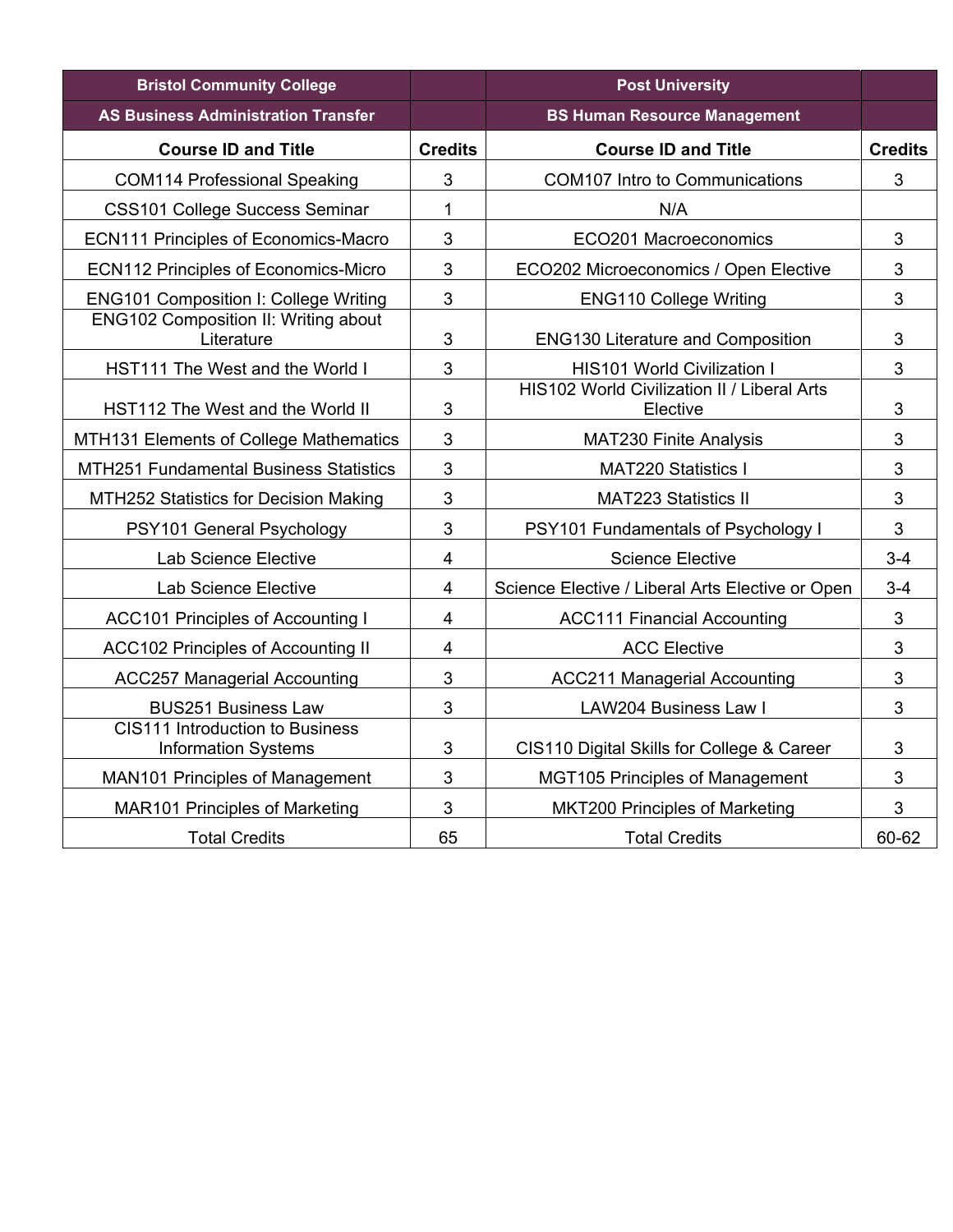| <b>Bristol Community College</b>                              |                | <b>Post University</b>                           |                |
|---------------------------------------------------------------|----------------|--------------------------------------------------|----------------|
| <b>AS Business Administration Transfer</b>                    |                | <b>BS Human Resource Management</b>              |                |
| <b>Course ID and Title</b>                                    | <b>Credits</b> | <b>Course ID and Title</b>                       | <b>Credits</b> |
| <b>COM114 Professional Speaking</b>                           | 3              | <b>COM107 Intro to Communications</b>            | 3              |
| <b>CSS101 College Success Seminar</b>                         | 1              | N/A                                              |                |
| <b>ECN111 Principles of Economics-Macro</b>                   | 3              | ECO201 Macroeconomics                            | 3              |
| <b>ECN112 Principles of Economics-Micro</b>                   | 3              | ECO202 Microeconomics / Open Elective            | $\sqrt{3}$     |
| <b>ENG101 Composition I: College Writing</b>                  | 3              | <b>ENG110 College Writing</b>                    | 3              |
| <b>ENG102 Composition II: Writing about</b><br>Literature     | 3              | <b>ENG130 Literature and Composition</b>         | 3              |
| HST111 The West and the World I                               | 3              | <b>HIS101 World Civilization I</b>               | 3              |
|                                                               |                | HIS102 World Civilization II / Liberal Arts      |                |
| HST112 The West and the World II                              | 3              | Elective                                         | 3              |
| MTH131 Elements of College Mathematics                        | 3              | <b>MAT230 Finite Analysis</b>                    | 3              |
| <b>MTH251 Fundamental Business Statistics</b>                 | 3              | <b>MAT220 Statistics I</b>                       | 3              |
| MTH252 Statistics for Decision Making                         | 3              | <b>MAT223 Statistics II</b>                      | 3              |
| PSY101 General Psychology                                     | 3              | PSY101 Fundamentals of Psychology I              | 3              |
| Lab Science Elective                                          | 4              | <b>Science Elective</b>                          | $3 - 4$        |
| Lab Science Elective                                          | 4              | Science Elective / Liberal Arts Elective or Open | $3 - 4$        |
| <b>ACC101 Principles of Accounting I</b>                      | 4              | <b>ACC111 Financial Accounting</b>               | $\mathbf{3}$   |
| <b>ACC102 Principles of Accounting II</b>                     | 4              | <b>ACC Elective</b>                              | 3              |
| <b>ACC257 Managerial Accounting</b>                           | 3              | <b>ACC211 Managerial Accounting</b>              | 3              |
| <b>BUS251 Business Law</b>                                    | 3              | <b>LAW204 Business Law I</b>                     | 3              |
| CIS111 Introduction to Business<br><b>Information Systems</b> | 3              | CIS110 Digital Skills for College & Career       | 3              |
| MAN101 Principles of Management                               | 3              | <b>MGT105 Principles of Management</b>           | 3              |
| <b>MAR101 Principles of Marketing</b>                         | 3              | <b>MKT200 Principles of Marketing</b>            | 3              |
| <b>Total Credits</b>                                          | 65             | <b>Total Credits</b>                             | 60-62          |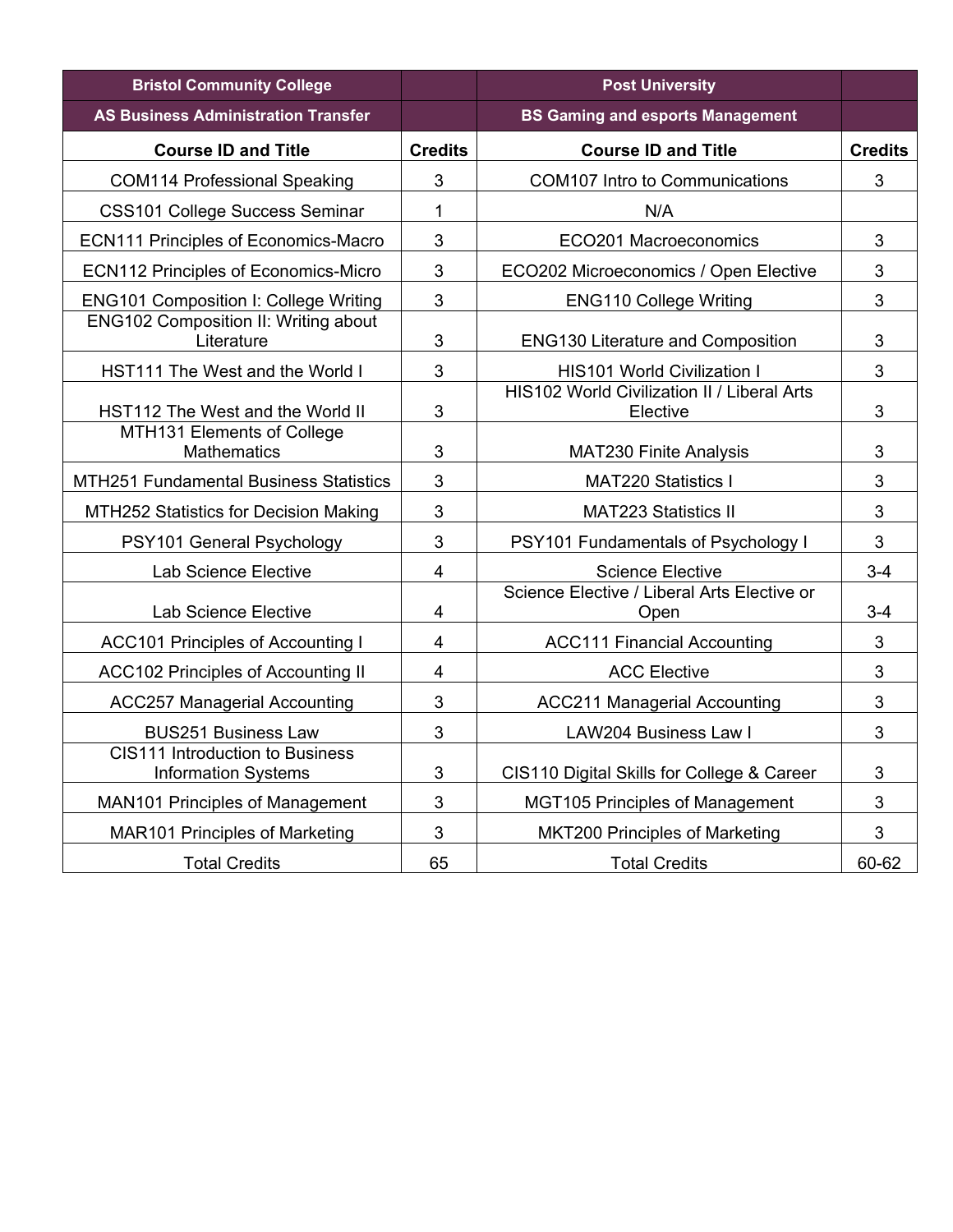| <b>Bristol Community College</b>                              |                | <b>Post University</b>                                         |                |
|---------------------------------------------------------------|----------------|----------------------------------------------------------------|----------------|
| <b>AS Business Administration Transfer</b>                    |                | <b>BS Gaming and esports Management</b>                        |                |
| <b>Course ID and Title</b>                                    | <b>Credits</b> | <b>Course ID and Title</b>                                     | <b>Credits</b> |
| <b>COM114 Professional Speaking</b>                           | 3              | <b>COM107 Intro to Communications</b>                          | 3              |
| <b>CSS101 College Success Seminar</b>                         | 1              | N/A                                                            |                |
| <b>ECN111 Principles of Economics-Macro</b>                   | 3              | ECO201 Macroeconomics                                          | 3              |
| <b>ECN112 Principles of Economics-Micro</b>                   | 3              | ECO202 Microeconomics / Open Elective                          | 3              |
| <b>ENG101 Composition I: College Writing</b>                  | 3              | <b>ENG110 College Writing</b>                                  | 3              |
| ENG102 Composition II: Writing about<br>Literature            | 3              | <b>ENG130 Literature and Composition</b>                       | 3              |
| HST111 The West and the World I                               | 3              | <b>HIS101 World Civilization I</b>                             | 3              |
| HST112 The West and the World II                              | 3              | <b>HIS102 World Civilization II / Liberal Arts</b><br>Elective | 3              |
| MTH131 Elements of College<br><b>Mathematics</b>              | 3              | <b>MAT230 Finite Analysis</b>                                  | 3              |
| <b>MTH251 Fundamental Business Statistics</b>                 | 3              | <b>MAT220 Statistics I</b>                                     | 3              |
| MTH252 Statistics for Decision Making                         | 3              | <b>MAT223 Statistics II</b>                                    | 3              |
| PSY101 General Psychology                                     | 3              | PSY101 Fundamentals of Psychology I                            | 3              |
| Lab Science Elective                                          | 4              | <b>Science Elective</b>                                        | $3-4$          |
| Lab Science Elective                                          | 4              | Science Elective / Liberal Arts Elective or<br>Open            | $3 - 4$        |
| <b>ACC101 Principles of Accounting I</b>                      | $\overline{4}$ | <b>ACC111 Financial Accounting</b>                             | 3              |
| <b>ACC102 Principles of Accounting II</b>                     | $\overline{4}$ | <b>ACC Elective</b>                                            | 3              |
| <b>ACC257 Managerial Accounting</b>                           | 3              | <b>ACC211 Managerial Accounting</b>                            | 3              |
| <b>BUS251 Business Law</b>                                    | 3              | <b>LAW204 Business Law I</b>                                   | 3              |
| CIS111 Introduction to Business<br><b>Information Systems</b> | 3              | CIS110 Digital Skills for College & Career                     | 3              |
| <b>MAN101 Principles of Management</b>                        | 3              | <b>MGT105 Principles of Management</b>                         | 3              |
| <b>MAR101 Principles of Marketing</b>                         | 3              | <b>MKT200 Principles of Marketing</b>                          | 3              |
| <b>Total Credits</b>                                          | 65             | <b>Total Credits</b>                                           | 60-62          |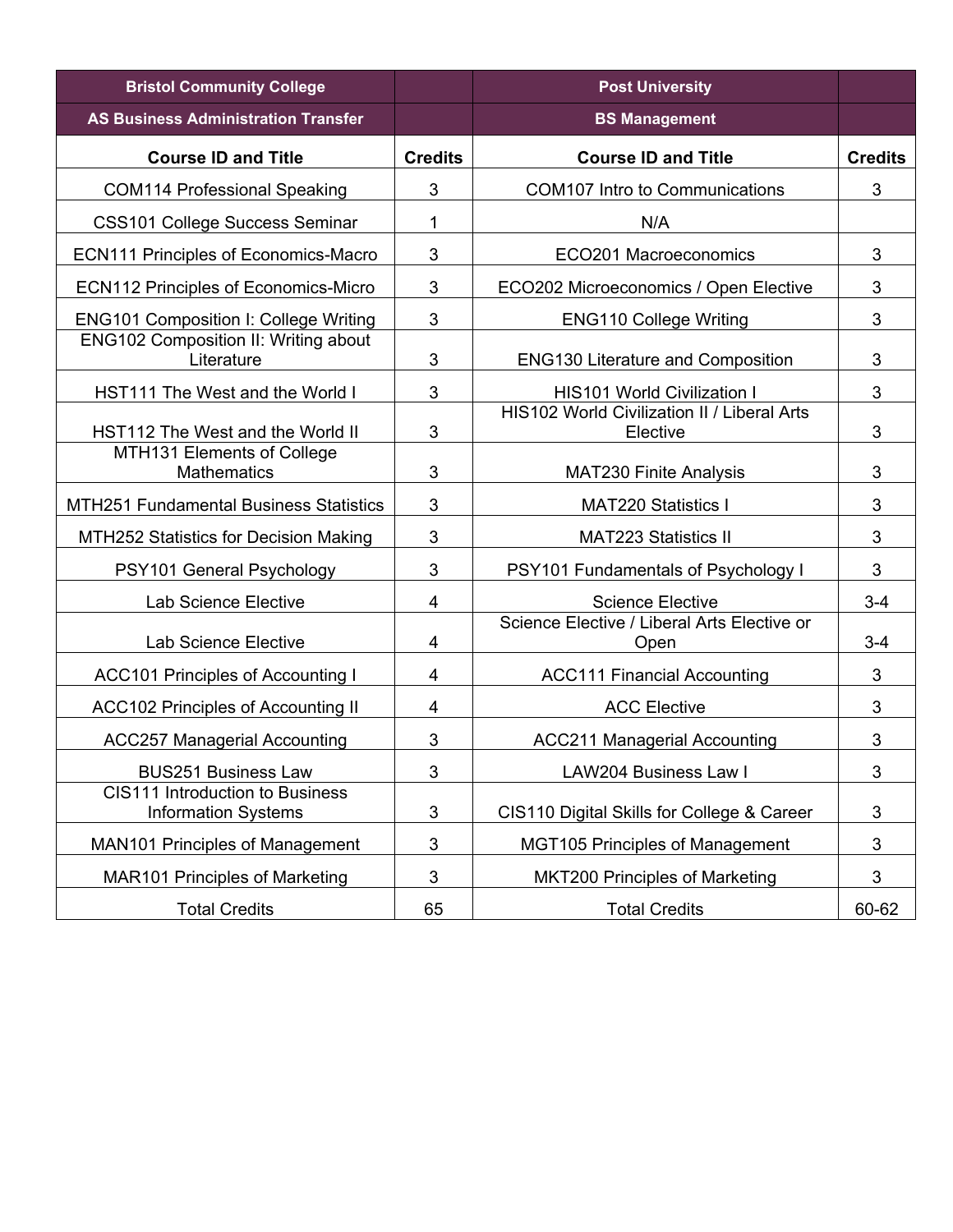| <b>Bristol Community College</b>                                     |                | <b>Post University</b>                                  |                |
|----------------------------------------------------------------------|----------------|---------------------------------------------------------|----------------|
| <b>AS Business Administration Transfer</b>                           |                | <b>BS Management</b>                                    |                |
| <b>Course ID and Title</b>                                           | <b>Credits</b> | <b>Course ID and Title</b>                              | <b>Credits</b> |
| <b>COM114 Professional Speaking</b>                                  | 3              | <b>COM107 Intro to Communications</b>                   | 3              |
| <b>CSS101 College Success Seminar</b>                                | 1              | N/A                                                     |                |
| <b>ECN111 Principles of Economics-Macro</b>                          | 3              | ECO201 Macroeconomics                                   | 3              |
| <b>ECN112 Principles of Economics-Micro</b>                          | 3              | ECO202 Microeconomics / Open Elective                   | 3              |
| <b>ENG101 Composition I: College Writing</b>                         | 3              | <b>ENG110 College Writing</b>                           | 3              |
| <b>ENG102 Composition II: Writing about</b><br>Literature            | 3              | <b>ENG130 Literature and Composition</b>                | 3              |
| HST111 The West and the World I                                      | 3              | <b>HIS101 World Civilization I</b>                      | 3              |
| HST112 The West and the World II                                     | 3              | HIS102 World Civilization II / Liberal Arts<br>Elective | 3              |
| MTH131 Elements of College<br><b>Mathematics</b>                     | 3              | <b>MAT230 Finite Analysis</b>                           | 3              |
| <b>MTH251 Fundamental Business Statistics</b>                        | 3              | <b>MAT220 Statistics I</b>                              | 3              |
| MTH252 Statistics for Decision Making                                | 3              | <b>MAT223 Statistics II</b>                             | 3              |
| PSY101 General Psychology                                            | 3              | <b>PSY101 Fundamentals of Psychology I</b>              | 3              |
| Lab Science Elective                                                 | 4              | <b>Science Elective</b>                                 | $3 - 4$        |
| <b>Lab Science Elective</b>                                          | 4              | Science Elective / Liberal Arts Elective or<br>Open     | $3 - 4$        |
| <b>ACC101 Principles of Accounting I</b>                             | 4              | <b>ACC111 Financial Accounting</b>                      | 3              |
| <b>ACC102 Principles of Accounting II</b>                            | $\overline{4}$ | <b>ACC Elective</b>                                     | 3              |
| <b>ACC257 Managerial Accounting</b>                                  | 3              | <b>ACC211 Managerial Accounting</b>                     | 3              |
| <b>BUS251 Business Law</b>                                           | 3              | LAW204 Business Law I                                   | 3              |
| <b>CIS111 Introduction to Business</b><br><b>Information Systems</b> | $\mathfrak{B}$ | CIS110 Digital Skills for College & Career              | 3              |
| <b>MAN101 Principles of Management</b>                               | $\mathbf{3}$   | <b>MGT105 Principles of Management</b>                  | 3              |
| <b>MAR101 Principles of Marketing</b>                                | 3              | <b>MKT200 Principles of Marketing</b>                   | 3              |
| <b>Total Credits</b>                                                 | 65             | <b>Total Credits</b>                                    | 60-62          |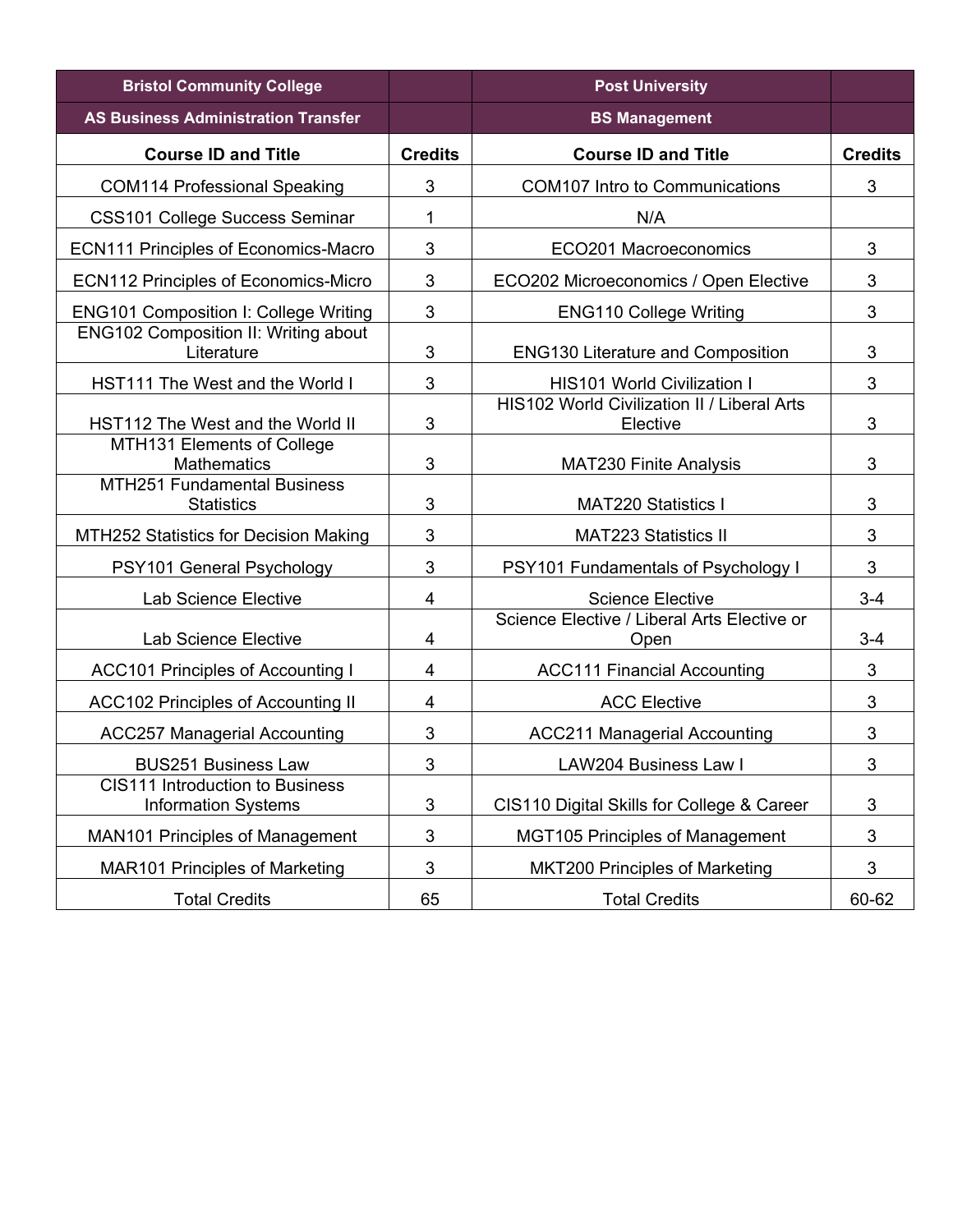| <b>Bristol Community College</b>                                     |                | <b>Post University</b>                                  |                           |
|----------------------------------------------------------------------|----------------|---------------------------------------------------------|---------------------------|
| <b>AS Business Administration Transfer</b>                           |                | <b>BS Management</b>                                    |                           |
| <b>Course ID and Title</b>                                           | <b>Credits</b> | <b>Course ID and Title</b>                              | <b>Credits</b>            |
| <b>COM114 Professional Speaking</b>                                  | 3              | <b>COM107 Intro to Communications</b>                   | $\mathfrak{S}$            |
| <b>CSS101 College Success Seminar</b>                                | 1              | N/A                                                     |                           |
| <b>ECN111 Principles of Economics-Macro</b>                          | 3              | ECO201 Macroeconomics                                   | 3                         |
| <b>ECN112 Principles of Economics-Micro</b>                          | 3              | ECO202 Microeconomics / Open Elective                   | 3                         |
| <b>ENG101 Composition I: College Writing</b>                         | 3              | <b>ENG110 College Writing</b>                           | 3                         |
| <b>ENG102 Composition II: Writing about</b><br>Literature            | 3              | <b>ENG130 Literature and Composition</b>                | 3                         |
| HST111 The West and the World I                                      | 3              | <b>HIS101 World Civilization I</b>                      | 3                         |
| HST112 The West and the World II                                     | 3              | HIS102 World Civilization II / Liberal Arts<br>Elective | 3                         |
| MTH131 Elements of College<br><b>Mathematics</b>                     | 3              | <b>MAT230 Finite Analysis</b>                           | 3                         |
| <b>MTH251 Fundamental Business</b><br><b>Statistics</b>              | 3              | <b>MAT220 Statistics I</b>                              | 3                         |
| MTH252 Statistics for Decision Making                                | 3              | <b>MAT223 Statistics II</b>                             | 3                         |
| PSY101 General Psychology                                            | $\mathbf{3}$   | PSY101 Fundamentals of Psychology I                     | 3                         |
| Lab Science Elective                                                 | 4              | <b>Science Elective</b>                                 | $3-4$                     |
| <b>Lab Science Elective</b>                                          | 4              | Science Elective / Liberal Arts Elective or<br>Open     | $3 - 4$                   |
| <b>ACC101 Principles of Accounting I</b>                             | $\overline{4}$ | <b>ACC111 Financial Accounting</b>                      | 3                         |
| <b>ACC102 Principles of Accounting II</b>                            | 4              | <b>ACC Elective</b>                                     | 3                         |
| <b>ACC257 Managerial Accounting</b>                                  | 3              | <b>ACC211 Managerial Accounting</b>                     | 3                         |
| <b>BUS251 Business Law</b>                                           | 3              | LAW204 Business Law I                                   | $\ensuremath{\mathsf{3}}$ |
| <b>CIS111 Introduction to Business</b><br><b>Information Systems</b> | 3              | CIS110 Digital Skills for College & Career              | 3                         |
| <b>MAN101 Principles of Management</b>                               | 3              | <b>MGT105 Principles of Management</b>                  | 3                         |
| <b>MAR101 Principles of Marketing</b>                                | $\sqrt{3}$     | <b>MKT200 Principles of Marketing</b>                   | 3                         |
| <b>Total Credits</b>                                                 | 65             | <b>Total Credits</b>                                    | 60-62                     |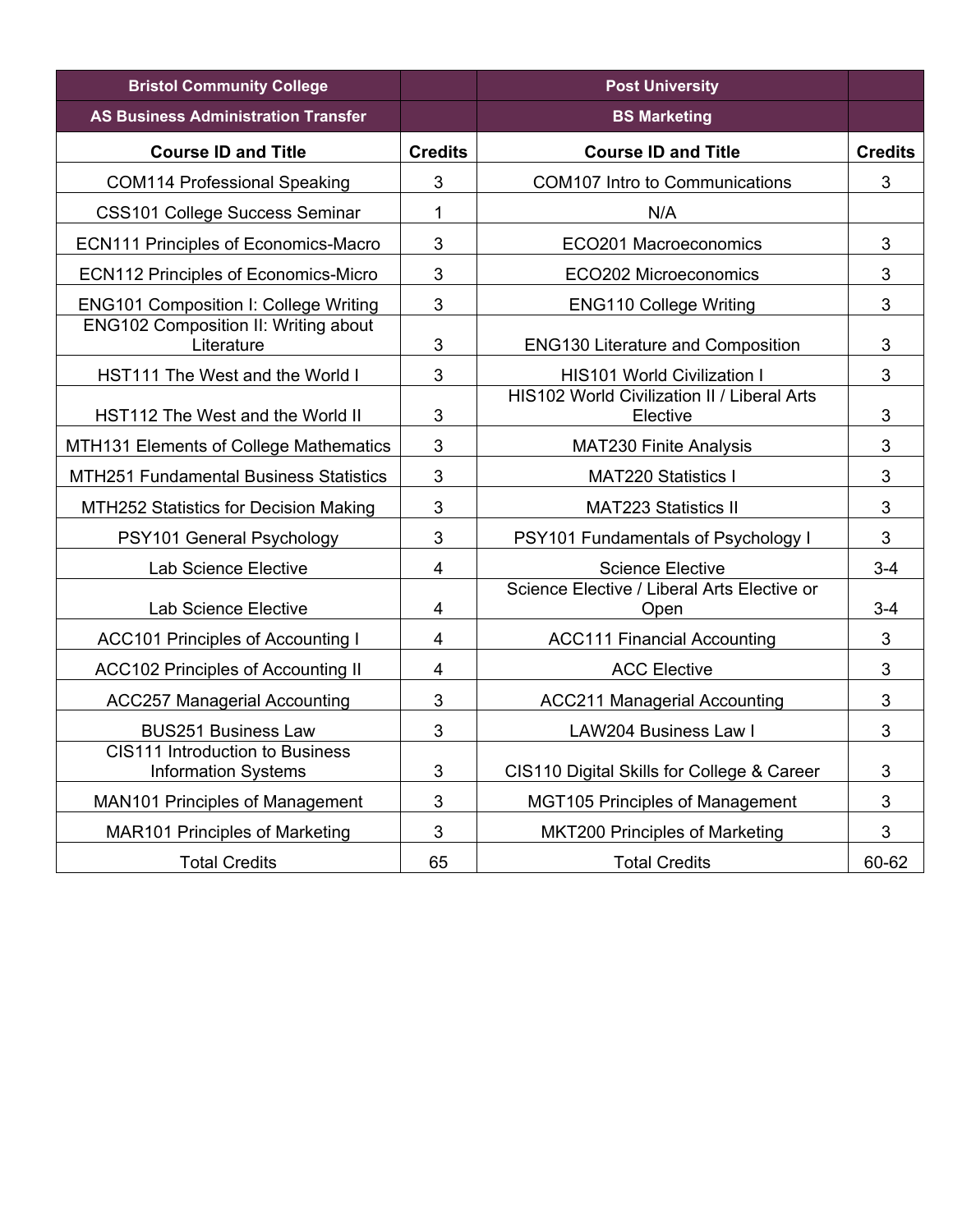| <b>Bristol Community College</b>                              |                | <b>Post University</b>                                  |                |
|---------------------------------------------------------------|----------------|---------------------------------------------------------|----------------|
| <b>AS Business Administration Transfer</b>                    |                | <b>BS Marketing</b>                                     |                |
| <b>Course ID and Title</b>                                    | <b>Credits</b> | <b>Course ID and Title</b>                              | <b>Credits</b> |
| <b>COM114 Professional Speaking</b>                           | 3              | <b>COM107 Intro to Communications</b>                   | $\mathbf{3}$   |
| <b>CSS101 College Success Seminar</b>                         | 1              | N/A                                                     |                |
| <b>ECN111 Principles of Economics-Macro</b>                   | 3              | ECO201 Macroeconomics                                   | 3              |
| <b>ECN112 Principles of Economics-Micro</b>                   | 3              | ECO202 Microeconomics                                   | 3              |
| <b>ENG101 Composition I: College Writing</b>                  | 3              | <b>ENG110 College Writing</b>                           | 3              |
| <b>ENG102 Composition II: Writing about</b><br>Literature     | 3              | <b>ENG130 Literature and Composition</b>                | $\mathbf{3}$   |
| HST111 The West and the World I                               | 3              | <b>HIS101 World Civilization I</b>                      | 3              |
| HST112 The West and the World II                              | 3              | HIS102 World Civilization II / Liberal Arts<br>Elective | 3              |
| MTH131 Elements of College Mathematics                        | 3              | <b>MAT230 Finite Analysis</b>                           | 3              |
| <b>MTH251 Fundamental Business Statistics</b>                 | 3              | <b>MAT220 Statistics I</b>                              | 3              |
| MTH252 Statistics for Decision Making                         | 3              | <b>MAT223 Statistics II</b>                             | 3              |
| PSY101 General Psychology                                     | 3              | PSY101 Fundamentals of Psychology I                     | 3              |
| <b>Lab Science Elective</b>                                   | 4              | <b>Science Elective</b>                                 | $3-4$          |
| Lab Science Elective                                          | $\overline{4}$ | Science Elective / Liberal Arts Elective or<br>Open     | $3 - 4$        |
| <b>ACC101 Principles of Accounting I</b>                      | 4              | <b>ACC111 Financial Accounting</b>                      | 3              |
| <b>ACC102 Principles of Accounting II</b>                     | 4              | <b>ACC Elective</b>                                     | $\mathbf{3}$   |
| <b>ACC257 Managerial Accounting</b>                           | 3              | <b>ACC211 Managerial Accounting</b>                     | 3              |
| <b>BUS251 Business Law</b>                                    | 3              | LAW204 Business Law I                                   | $\mathbf{3}$   |
| CIS111 Introduction to Business<br><b>Information Systems</b> | 3              | CIS110 Digital Skills for College & Career              | 3              |
| <b>MAN101 Principles of Management</b>                        | 3              | <b>MGT105 Principles of Management</b>                  | 3              |
| <b>MAR101 Principles of Marketing</b>                         | 3              | <b>MKT200 Principles of Marketing</b>                   | 3              |
| <b>Total Credits</b>                                          | 65             | <b>Total Credits</b>                                    | 60-62          |